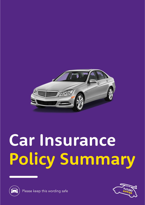

# Car Insurance **Policy Summary**





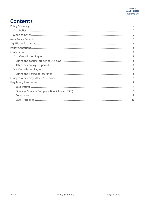# **Contents**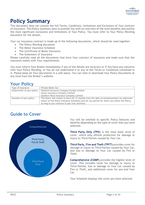

## <span id="page-2-0"></span>**Policy Summary**

This document does not contain the full Terms, Conditions, limitations and Exclusions of Your contract of insurance. This Policy Summary aims to provide You with an overview of the main benefits and outline the most significant exclusions and limitations of Your Policy. You must refer to Your Policy Wording document for full details.

Your car insurance contract is made up of the following documents, which should be read together:

- The Policy Wording document
- The Motor Insurance Schedule
- The Certificate of Motor Insurance
- The Statement of Insurance

Please carefully read all the documents that form Your contract of insurance and make sure that the insurance meets with Your requirements.

You must inform Your Broker immediately if any of the details are incorrect or if You have any concerns with Your Policy Wording, or You do not understand it or any of the Terms or Conditions contained in it. Please keep all Your documents in a safe place. You can view or download Your Policy Documents at any time from the Broker's website.

## <span id="page-2-1"></span>**Your Policy**

| Type of insurance          | Private Motor Car.                                                                        |
|----------------------------|-------------------------------------------------------------------------------------------|
| Underwriter of your policy | Watford Insurance Company Europe Limited                                                  |
|                            | Alwyn Insurance Company Limited                                                           |
|                            | Southern Rock Insurance Company Limited                                                   |
| Duration of your policy    | The Policy will remain in force for 12 months from the date of commencement (or otherwise |
|                            | shown on the Motor Insurance Schedule) and for any period for which you renew the Policy, |
|                            | as long as you continue to pay Your premium.                                              |

## <span id="page-2-2"></span>**Guide to Cover**



You will be entitled to specific Policy features and benefits depending on the type of cover that you have selected.

**Third Party Only (TPO**) is the most basic level of cover, which only affords protection for damage or injury to Third Parties caused by Your Car.

**Third Party, Fire and Theft (TPFT)** provides cover for damage or injury to Third Parties caused by Your Car, and loss or damage to Your Car caused by Fire or Theft.

**Comprehensive (COMP)** provides the highest level of cover. This includes cover for damage or injury to Third Parties, loss or damage to Your Car caused by Fire or Theft, and additional cover for you and Your Car.

Your Schedule displays the cover you have selected.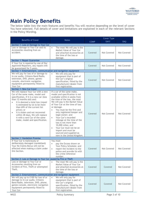# <span id="page-3-0"></span>**Main Policy Benefits**

The below table lists the main features and benefits You will receive depending on the level of cover You have selected. Full details of cover and limitations are explained in each of the relevant Sections in the Policy Wording.

|                                                                                                                                                                                                                                                                                                                                                                                                                                     |                                                                                                                                                                                                                                                                                                                                                                                                                                                                                                                                           | Cover Type  |             |             |  |  |
|-------------------------------------------------------------------------------------------------------------------------------------------------------------------------------------------------------------------------------------------------------------------------------------------------------------------------------------------------------------------------------------------------------------------------------------|-------------------------------------------------------------------------------------------------------------------------------------------------------------------------------------------------------------------------------------------------------------------------------------------------------------------------------------------------------------------------------------------------------------------------------------------------------------------------------------------------------------------------------------------|-------------|-------------|-------------|--|--|
| <b>Benefits of Cover</b>                                                                                                                                                                                                                                                                                                                                                                                                            | <b>Notes</b>                                                                                                                                                                                                                                                                                                                                                                                                                                                                                                                              | <b>COMP</b> | <b>TPFT</b> | <b>TPO</b>  |  |  |
| Section 1: Loss or Damage to Your Car                                                                                                                                                                                                                                                                                                                                                                                               |                                                                                                                                                                                                                                                                                                                                                                                                                                                                                                                                           |             |             |             |  |  |
| Loss or damage to Your Car and its<br>Accessories resulting from an<br>accident.                                                                                                                                                                                                                                                                                                                                                    | The most We will pay is the<br>$\bullet$<br>Market Value of Your Car<br>and attached Accessories at<br>the time of the loss or<br>damage.                                                                                                                                                                                                                                                                                                                                                                                                 | Covered     | Not Covered | Not Covered |  |  |
| Section 1: Repair Guarantee                                                                                                                                                                                                                                                                                                                                                                                                         |                                                                                                                                                                                                                                                                                                                                                                                                                                                                                                                                           |             |             |             |  |  |
| If Your Car is repaired by one of Our<br>Approved Repairers, any repairs will<br>be guaranteed for 5 years.                                                                                                                                                                                                                                                                                                                         |                                                                                                                                                                                                                                                                                                                                                                                                                                                                                                                                           | Covered     | Not Covered | Not Covered |  |  |
| Section 1: Entertainment, communication and navigation equipment                                                                                                                                                                                                                                                                                                                                                                    |                                                                                                                                                                                                                                                                                                                                                                                                                                                                                                                                           |             |             |             |  |  |
| We will pay for loss of or damage to<br>in-car audio, Citizens Band Radio,<br>television, DVD, phone, games-<br>console, electronic navigation<br>equipment permanently fitted to<br>Your Car.                                                                                                                                                                                                                                      | We will only pay for<br>$\bullet$<br>equipment that is part of<br>the Car's original<br>specification, fitted by the<br>manufacturer/dealer from<br>first registration.                                                                                                                                                                                                                                                                                                                                                                   | Covered     | Not Covered | Not Covered |  |  |
| Section 1: New Car Cover                                                                                                                                                                                                                                                                                                                                                                                                            |                                                                                                                                                                                                                                                                                                                                                                                                                                                                                                                                           |             |             |             |  |  |
| We will replace Your Car with a new<br>Car of the same make, model and<br>specification, if it is a new car (less<br>than 12 months old) and:<br>it is deemed a total loss (repair<br>$\bullet$<br>is estimated by Us to be more<br>than 69% of the current list<br>price); or<br>it is stolen and not recovered<br>$\bullet$<br>within 28 days, We will replace<br>it with a new Car of the same<br>make, model and specification. | If a car of the same make,<br>model and specification is not<br>available within 6 weeks from<br>the time of the loss, the most<br>We will pay is the Market Value<br>of Your Car at the time of loss<br>or damage.<br>You must be the first and<br>only registered keeper and<br>legal owner; and<br>Your Car's recorded<br>$\bullet$<br>mileage at the time of the<br>loss is not more than<br>10,000 miles; and<br>Your Car must not be an<br>$\bullet$<br>import and must be<br>sourced and supplied as<br>new in the United Kingdom. | Covered     | Not Covered | Not Covered |  |  |
| Section 1: Vandalism Promise                                                                                                                                                                                                                                                                                                                                                                                                        |                                                                                                                                                                                                                                                                                                                                                                                                                                                                                                                                           |             |             |             |  |  |
| If Your Car is maliciously or<br>deliberately damaged (vandalised)<br>Your No Claims Bonus will not be<br>affected when making a claim under<br>this Section.                                                                                                                                                                                                                                                                       | You must<br>pay the Excess shown on<br>Your Policy Schedule; and<br>report the incident to the<br>$\bullet$<br>police and provide Us with<br>the crime reference<br>number.                                                                                                                                                                                                                                                                                                                                                               | Covered     | Not Covered | Not Covered |  |  |
| Section 2: Loss or Damage to Your Car caused by Fire or Theft                                                                                                                                                                                                                                                                                                                                                                       |                                                                                                                                                                                                                                                                                                                                                                                                                                                                                                                                           |             |             |             |  |  |
| Loss or damage to Your Car or<br>Accessories resulting from an<br>incident of Fire, Theft or attempted<br>Theft.                                                                                                                                                                                                                                                                                                                    | The most We will pay is the<br>$\bullet$<br>Market Value of Your Car<br>and attached Accessories at<br>the time of the loss or<br>damage.                                                                                                                                                                                                                                                                                                                                                                                                 | Covered     | Covered     | Not Covered |  |  |
| Section 2: Entertainment, communication and navigation equipment                                                                                                                                                                                                                                                                                                                                                                    |                                                                                                                                                                                                                                                                                                                                                                                                                                                                                                                                           |             |             |             |  |  |
| We will pay up to £100 for loss of or<br>damage to in-car audio, Citizens<br>Band Radio, television, DVD, phone,<br>games-console, electronic navigation<br>equipment permanently fitted to<br>Your Car.                                                                                                                                                                                                                            | We will only pay for<br>equipment that is part of<br>the Car's original<br>specification, fitted by the<br>manufacturer/dealer from<br>first registration.                                                                                                                                                                                                                                                                                                                                                                                | Covered     | Covered     | Not Covered |  |  |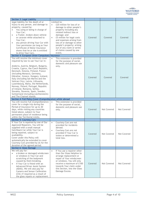

| Section 3: Legal Liability                                                                                                                                                                                                                                                                                                                                                                                                                                                                                                                                                 |                                                                                                                                                                                                                                                                                                                                                                |         |             |             |  |
|----------------------------------------------------------------------------------------------------------------------------------------------------------------------------------------------------------------------------------------------------------------------------------------------------------------------------------------------------------------------------------------------------------------------------------------------------------------------------------------------------------------------------------------------------------------------------|----------------------------------------------------------------------------------------------------------------------------------------------------------------------------------------------------------------------------------------------------------------------------------------------------------------------------------------------------------------|---------|-------------|-------------|--|
| legal liability for the death of or<br>injury to any person, and damage to<br>property, caused by:<br>You using or being in charge of<br>Your Car;<br>a Trailer, broken-down vehicle<br>or caravan while attached to<br>Your Car;<br>any person driving Your Car with<br>Your permission (as long as Your<br>Certificate of Motor Insurance<br>shows that he or she is entitled<br>to drive Your Car).                                                                                                                                                                     | Limited to:<br>£20 million for loss of or<br>$\bullet$<br>damage to other people's<br>property including any<br>related indirect loss or<br>damage; and<br>£5 million for legal costs<br>$\bullet$<br>and expenses arising from<br>loss of or damage to other<br>people's property; arising<br>out of any claim or series<br>of claims caused by one<br>event. | Covered | Covered     | Covered     |  |
| Section 4: European Union Compulsory Insurance                                                                                                                                                                                                                                                                                                                                                                                                                                                                                                                             |                                                                                                                                                                                                                                                                                                                                                                |         |             |             |  |
| You will receive the minimum cover<br>required by law to use Your Car in:<br>Andorra, Austria, Belgium, Bulgaria,<br>Croatia, Cyprus, the Czech Republic,<br>Denmark, Estonia, Finland, France<br>(including Monaco), Germany,<br>Gibraltar, Greece, Hungary, Iceland,<br>Italy (including San Marino and the<br>Vatican City), Latvia, Lithuania,<br>Luxembourg, Malta, the Netherlands,<br>Norway, Poland, Portugal, Republic<br>of Ireland, Romania, Serbia,<br>Slovakia, Slovenia, Spain, Sweden,<br>Switzerland (including Liechtenstein)<br>and The Channel Islands. | This extension is provided<br>$\bullet$<br>for the purpose of social,<br>domestic and pleasure use<br>only.                                                                                                                                                                                                                                                    | Covered | Covered     | Covered     |  |
| Section 4: Full Policy Cover (Comprehensive) whilst abroad                                                                                                                                                                                                                                                                                                                                                                                                                                                                                                                 |                                                                                                                                                                                                                                                                                                                                                                |         |             |             |  |
|                                                                                                                                                                                                                                                                                                                                                                                                                                                                                                                                                                            |                                                                                                                                                                                                                                                                                                                                                                |         |             |             |  |
| You will receive full (Comprehensive)<br>cover for a single trip during the<br>Period of Insurance for up to 30<br>days, while visiting any countries<br>listed above, subject to Your<br>permanent place of residence being<br>within the Territorial Limits.                                                                                                                                                                                                                                                                                                             | This extension is provided<br>$\bullet$<br>for the purpose of social,<br>domestic and pleasure use<br>only.                                                                                                                                                                                                                                                    | Covered | Not Covered | Not Covered |  |
| Section 5: Courtesy Cars                                                                                                                                                                                                                                                                                                                                                                                                                                                                                                                                                   |                                                                                                                                                                                                                                                                                                                                                                |         |             |             |  |
| If Your Car is repaired by one of Our<br>Approved Repairers, You will be<br>supplied with a small manual<br>hatchback Car while Your Car is<br>being repaired, subject to<br>availability.<br>Cover under this Policy will<br>automatically be extended to cover<br>Courtesy Cars provided by Us for the<br>duration of the agreed period.                                                                                                                                                                                                                                 | Courtesy Cars are not<br>$\bullet$<br>provided for incidents<br>abroad.<br>Courtesy Cars are not<br>$\bullet$<br>provided if Your Car is<br>stolen or determined a<br>total loss.                                                                                                                                                                              | Covered | Not Covered | Not Covered |  |
| Section 6: Glass Damage<br>We will pay for:                                                                                                                                                                                                                                                                                                                                                                                                                                                                                                                                | If You use a repairer other<br>$\bullet$                                                                                                                                                                                                                                                                                                                       |         |             |             |  |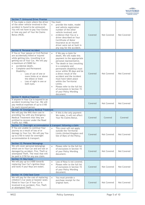

| Section 7: Uninsured Driver Promise                                                                                                                                                                                                                                                                                                                                                                        |                                                                                                                                                                                                                                                                                                                                                                                                                                                                                                  |         |             |             |
|------------------------------------------------------------------------------------------------------------------------------------------------------------------------------------------------------------------------------------------------------------------------------------------------------------------------------------------------------------------------------------------------------------|--------------------------------------------------------------------------------------------------------------------------------------------------------------------------------------------------------------------------------------------------------------------------------------------------------------------------------------------------------------------------------------------------------------------------------------------------------------------------------------------------|---------|-------------|-------------|
| If You make a claim where the driver<br>of the other vehicle involved in the<br>accident is found to be uninsured,<br>You will not have to pay Your Excess<br>or lose any part of Your No Claims<br>Bonus (NCB).                                                                                                                                                                                           | You must:<br>provide the make, model<br>$\bullet$<br>and vehicle registration<br>number of the other<br>vehicle involved; and<br>evidence that You or a<br>$\bullet$<br>driver described on Your<br>Certificate of Motor<br>Insurance as an insured<br>driver were not at fault in<br>any way for the accident.                                                                                                                                                                                  | Covered | Not Covered | Not Covered |
| Section 8: Personal Accident                                                                                                                                                                                                                                                                                                                                                                               |                                                                                                                                                                                                                                                                                                                                                                                                                                                                                                  |         |             |             |
| If You or Your spouse or Civil Partner<br>are accidentally killed or injured<br>while getting into, travelling in or<br>getting out of Your Car, We will pay<br>a maximum of £5000 for:<br>accidental death,<br>Complete and Permanent<br>$\bullet$<br>Disability:-<br>Loss of use of one or<br>$\circ$<br>more limbs at or above<br>the elbow or knee<br>Loss of sight in one or<br>$\circ$<br>both eyes. | If We pay a claim for<br>$\bullet$<br>death, We will make this<br>payment to the appropriate<br>personal representative.<br>The death or loss (resulting<br>$\bullet$<br>in a complete and<br>permanent disability) must<br>occur within 90 days and be<br>a direct result of the<br>accident and the incident<br>must have taken place<br>within the Territorial<br>Limits.<br>Please refer to the full list<br>$\bullet$<br>of exclusions in Section 15<br>of your Policy Wording<br>document. | Covered | Not Covered | Not Covered |
| Section 9: Medical Expenses                                                                                                                                                                                                                                                                                                                                                                                |                                                                                                                                                                                                                                                                                                                                                                                                                                                                                                  |         |             |             |
| If anyone in Your Car is injured in an<br>accident involving Your Car, We will<br>pay medical expenses of up to £100<br>for each injured person.                                                                                                                                                                                                                                                           |                                                                                                                                                                                                                                                                                                                                                                                                                                                                                                  | Covered | Not Covered | Not Covered |
| Section 10: Emergency Medical Treatment                                                                                                                                                                                                                                                                                                                                                                    |                                                                                                                                                                                                                                                                                                                                                                                                                                                                                                  |         |             |             |
| We will pay the NHS their cost in<br>providing You with any Emergency<br>Medical Treatment that they are<br>entitled to recover under the Road<br>Traffic Act 1988.                                                                                                                                                                                                                                        | If this is the only payment<br>$\bullet$<br>We make, it will not affect<br>Your No Claims Bonus.                                                                                                                                                                                                                                                                                                                                                                                                 | Covered | Covered     | Covered     |
| Section 11: Overnight accommodation & transport following a claim                                                                                                                                                                                                                                                                                                                                          |                                                                                                                                                                                                                                                                                                                                                                                                                                                                                                  |         |             |             |
| If You are unable to continue Your<br>journey as a result of loss of or<br>damage to Your Car, We will pay You<br>up to £150 in total for overnight<br>accommodation & transport.                                                                                                                                                                                                                          | This cover will not apply<br>$\bullet$<br>outside the Territorial<br>Limits (United Kingdom and<br>Isle of Man) of the Policy.                                                                                                                                                                                                                                                                                                                                                                   | Covered | Not Covered | Not Covered |
| Section 12: Personal Belongings                                                                                                                                                                                                                                                                                                                                                                            |                                                                                                                                                                                                                                                                                                                                                                                                                                                                                                  |         |             |             |
| We will cover personal belongings<br>which are in Your Car and are lost or<br>damaged by accident, Fire, Theft or<br>attempted Theft. The most that will<br>be paid is £150 for any one claim.                                                                                                                                                                                                             | Please refer to the full list<br>of exclusions in Section 15<br>of your Policy Wording<br>document.                                                                                                                                                                                                                                                                                                                                                                                              | Covered | Not Covered | Not Covered |
| Section 13: Key Cover                                                                                                                                                                                                                                                                                                                                                                                      |                                                                                                                                                                                                                                                                                                                                                                                                                                                                                                  |         |             |             |
| We will pay up to £1000 towards<br>replacing Your Car's ignition Keys<br>and locks if your Keys are stolen.                                                                                                                                                                                                                                                                                                | Loss of Keys is not covered.<br>$\bullet$<br>Please refer to the full list<br>$\bullet$<br>of exclusions in Section 15<br>of your Policy Wording<br>document.                                                                                                                                                                                                                                                                                                                                    | Covered | Not Covered | Not Covered |
| Section 14: Child Seat Cover                                                                                                                                                                                                                                                                                                                                                                               |                                                                                                                                                                                                                                                                                                                                                                                                                                                                                                  |         |             |             |
| We will pay for the cost of replacing<br>children's Car seats or booster seats<br>fitted in Your Car if Your Car is<br>involved in an accident, Fire, Theft<br>or attempted Theft.                                                                                                                                                                                                                         | You must provide a<br>$\bullet$<br>purchase receipt for the<br>original item.                                                                                                                                                                                                                                                                                                                                                                                                                    | Covered | Not Covered | Not Covered |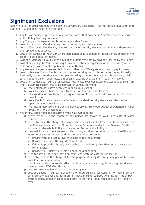

## <span id="page-6-0"></span>**Significant Exclusions**

Below is a list of circumstances which are not covered by your policy. For full details please refer to Sections 1, 2 and 15 of Your Policy Wording.

- 1. Any loss or damage up to the amount of the Excess that appears in Your Schedule or elsewhere in this Policy Wording document.
- 2. Any Young and Inexperienced Driver or applicable Excess.
- 3. Loss of use of Your Car (including the cost of hiring another vehicle).
- 4. Loss of Keys or similar device, remote controls or security devices and in any of these events the replacement of locks.
- 5. Loss of or damage to Your Car where possession of it is gained by deception by someone who claims to be a buyer or agent.
- 6. Loss of or damage to Your Car as a result of a deliberate act by anybody insured by the Policy.
- 7. Loss of or damage to Your Car arising from confiscation or requisition or destruction by or under order of any Government or public or local authority.
- 8. Any storage charges unless You tell Us about them and We agree in writing to pay for them.
- 9. Loss or damage if Your Car is used on the Nurburgring Nordschleife, or for racing formally or informally against another motorist, pace-making, competitions, rallies, Track Days, trials or tests, speed trials or speed tests, either on a road, track or at an off-road 4 x 4 event.
- 10. Loss of or damage to Your Car or Accessories, whilst Your Car is left unattended, arising from Theft, attempted Theft, malicious damage or Vandalism when:
	- a. the ignition keys have been left in or on Your Car; or
	- b. Your Car has not been secured by means of door and boot lock; or
	- c. any window or any form of sliding or removable roof or hood have been left open or unlocked; or
	- d. Your Car is fitted with a manufacturer's standard security device and the device is not operational or is not in use.
	- e. Alarms, immobilisers and tracking devices are not fully operational or switched on when Your Car is left unattended.
- 11. Any injury, loss or damage occurring while Your Car is being:
	- a) driven by or is in the charge of any person not shown on Your Certificate of Motor Insurance; or
	- b) driven by, or in the charge of, anyone who does not meet all the conditions described in the Endorsements in Your Motor Insurance Schedule and all the General Conditions Applying to the Whole Policy and any other Terms of this Policy; or
	- c) Involved in an incident following which You, a driver described on Your Certificate of Motor Insurance as an insured driver, or any other person are:
		- Driving with an alcohol level in excess of the legal limit;
		- Driving while unfit through drink or drugs;
		- Failing to provide a blood, urine or breath specimen (other than for a roadside test), for analysis;
		- Driving whilst unlawfully using a hand-held phone; or
	- d) used for any purpose not shown on Your Certificate of Motor Insurance; or
	- e) driven by, or is in the charge of for the purpose of being driven by, any person to whom Your Car has been hired; or
	- f) used in an unsafe or unroadworthy condition or, where such regulations require, does not have a current MOT Certificate; or
	- g) used to carry any dangerous substances or goods; or
	- h) Loss or damage if Your Car is used on the Nurburgring Nordschleife, or for racing formally or informally against another motorist, pace-making, competitions, rallies, Track Days, trials or tests, speed trials or speed tests, either on a road, track or at an off-road  $4 \times 4$ event.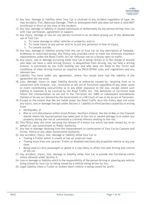

- 12. Any loss, damage or liability when Your Car is involved in any incident regardless of type, be that Accident, Fire, Malicious Damage, Theft or attempted theft and does not have a valid MOT Certificate in force at the time of the incident.
- 13. Any loss, damage or liability if caused maliciously or deliberately by any person driving Your Car with Your permission, agreement or support.
- 14. Any injury, damage or loss for any person involved in an accident arising out of the deliberate use of Your Car:
	- a. To cause damage to other vehicles or property; and/or
	- b. To cause injury to any person and/or to put any person(s) in fear of injury.
	- c. To commit suicide.
- 15. Any loss, damage or liability arising from the use of Your Car on any description of footpath, bridleway or restricted byway, this Policy only provides cover to meet the minimum insurance requirements under the Road Traffic Act for vehicular use on a byway open to traffic.
- 16. Any injury, loss or damage occurring while Your Car is being: driven or in the charge of anyone who does not have a valid driving licence, is disqualified from driving, has not held a driving licence, is prevented by law from holding one and who does not keep to the Terms and Conditions of their driving licence as required by DVLA/DVANI rules and regulations and any relevant law.
- 17. Liability You have under any agreement, unless You would have had the liability if the agreement did not exist.
- 18. Loss, damage, injury or legal liability directly or indirectly caused by, resulting from or in connection with invasion, war, revolution or any act of Terrorism regardless of any other cause or event contributing concurrently or in any other sequence to the loss, except where such liability is required to be covered by the Road Traffic Act. The definition of Terrorism shall follow the interpretation as set out in the Terrorism Act 2000 or subsequent amendments thereto or be any act deemed by the Government or a UK Court of Law to be an act of Terrorism.
- 19. Except to the extent that We are liable under the Road Traffic Acts this Policy does not cover any injury, loss or damage (except under Section 3– Liability to third parties) caused by or arising from:
	- earthquake; or
	- Riot or civil disturbance within Great Britain, Northern Ireland, the Isle of Man or the Channel Islands where the insured person has taken part in the riot or caused damage to or stolen any property during the riot or committed a criminal offence relating to the riot.
- 20. This Policy does not cover securing the release of a motor Car which has been seized by, or on behalf of, any Government or Public Authority.
- 21. Any loss or damage resulting from the impoundment or confiscation of Your Car by Customs and Excise, Police or any other Government Authority.
- 22. Any accident, injury, loss, damage or liability while Your Car is:
	- Towing a Trailer which is unsafe or has an unsecure load.
	- Towing more than one caravan, Trailer or disabled mechanically propelled vehicle at any one time.
	- Being used to carry passengers or goods in a way likely to affect the safe driving and control of the car.
- 23. Any accident, injury, loss, damage or liability while Your Car is outside the Territorial Limits unless allowed under Section 4.
- 24. Loss or damage or liability which is the responsibility of the person driving or steering any vehicle being towed by Your Car or being towed by a vehicle being driven by You.
- 25. Legal liability when a Trailer or broken-down vehicle is being towed for profit.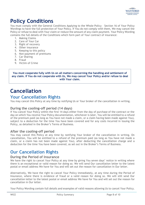

## <span id="page-8-0"></span>**Policy Conditions**

You must comply with the General Conditions Applying to the Whole Policy – Section 16 of Your Policy Wordings to have the full protection of Your Policy. If You do not comply with them, We may cancel the Policy or refuse to deal with Your claim or reduce the amount of any claim payment. Your Policy Wording contains the full details of the Conditions which form part of Your contract of insurance:

- 1. Making Claims
- 2. Care of Your Car
- 3. Right of recovery
- 4. Other insurance
- 5. Keeping to this policy
- 6. Non-payment of premiums
- 7. Car Sharing
- 8. Fraud
- 9. Victim of Crime

**You must cooperate fully with Us on all matters concerning the handling and settlement of any claim. If You do not cooperate with Us, We may cancel Your Policy and/or refuse to deal with Your claim.**

# <span id="page-8-1"></span>**Cancellation**

## <span id="page-8-2"></span>**Your Cancellation Rights**

You may cancel this Policy at any time by notifying Us or Your broker of the cancellation in writing.

### <span id="page-8-3"></span>**During the cooling-off period (14 days)**

If You cancel Your Policy within the first 14 days either from the day of purchase of the contract or the day on which You receive Your Policy documentation, whichever is later, You will be entitled to a refund of the premium paid (as long as You have not made a claim, or a claim having been made against You), subject to a deduction for the time You have been covered and for any costs incurred in issuing the Policy, as detailed in the Broker's Terms of Business.

### <span id="page-8-4"></span>**After the cooling-off period**

You may cancel this Policy at any time by notifying Your broker of the cancellation in writing. On cancellation, You will be entitled to a refund of the premium paid (as long as You have not made a claim, or a claim has not been made against You), after deducting the cancellation charge and a deduction for the time You have been covered, as set out in the Broker's Terms of Business.

## <span id="page-8-5"></span>**Our Cancellation Rights**

### <span id="page-8-6"></span>**During the Period of Insurance**

We have the right to cancel Your Policy at any time by giving You seven days' notice in writing where there is an exceptional or valid reason for doing so. We will send Our cancellation letter to the latest postal or email address We have for You and will set out the reason for cancellation in Our letter.

Alternatively, We have the right to cancel Your Policy immediately, at any time during the Period of Insurance, where there is evidence of fraud or a valid reason for doing so. We will still send Our cancellation letter to the latest postal or email address We have for You and will set out the reason for cancellation in Our letter.

Your Policy Wording contain full details and examples of valid reasons allowing Us to cancel Your Policy.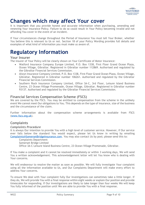

## <span id="page-9-0"></span>**Changes which may affect Your cover**

It is important that you provide honest and accurate information when purchasing, amending and renewing Your insurance Policy. Failure to do so could result in Your Policy becoming invalid and not affording You cover in the event of an incident.

If Your circumstances change throughout the Period of Insurance You must tell Your Broker, whether You believe this is relevant to Us or not. Section 18 of your Policy Wording provides full details and examples of what kind of information you must make us aware of.

## <span id="page-9-1"></span>**Regulatory Information**

## <span id="page-9-2"></span>**Your Insurer**

The insurer of Your Policy will be clearly shown on Your Certificate of Motor Insurance:

- Watford Insurance Company Europe Limited, P.O. Box 1338, First Floor Grand Ocean Plaza, Ocean Village, Gibraltar. Registered in Gibraltar number 112869. Authorised and regulated by the Gibraltar Financial Services Commission.
- Alwyn Insurance Company Limited, P.O. Box 1338, First Floor Grand Ocean Plaza, Ocean Village, Gibraltar. Registered in Gibraltar number 106261. Authorised and regulated by the Gibraltar Financial Services Commission.
- Southern Rock Insurance Company Limited, Office 3A-C, 3rd Floor, Leisure Island Business Centre, 23 Ocean Village Promenade, Ocean Village, Gibraltar. Registered in Gibraltar number 93137. Authorised and regulated by the Gibraltar Financial Services Commission.

## <span id="page-9-3"></span>**Financial Services Compensation Scheme (FSCS)**

We are covered by the FSCS. You may be entitled to compensation from the scheme in the unlikely event We cannot meet Our obligations to You. This depends on the type of insurance, size of the business and the circumstance of the claim.

Further information about the compensation scheme arrangements is available from FSCS [\(www.fscs.org.uk\)](http://www.fscs.org.uk/).

## <span id="page-9-4"></span>**Complaints**

#### *Complaints Procedure*

It is always Our intention to provide You with a high level of customer service. However, if Our service ever falls below the standard You would expect, please let Us know in writing by emailing [Complaints@SomersetBridgeInsurance.com.](mailto:Complaints@SomersetBridgeInsurance.com) You may also contact Us by post; please send this to:

Complaints Department Somerset Bridge Limited Office 3A-C Leisure Island Business Centre, 23 Ocean Village Promenade, Gibraltar.

If You make a complaint and it cannot be resolved immediately or within 3 working days, We will send You a written acknowledgement. This acknowledgement letter will let You know who is dealing with Your concerns.

We will endeavour to resolve the matter as soon as possible. We will fully investigate Your complaint using all the information available to Us, and Our Complaints Department will make every effort to address Your concerns.

To ensure We deal with Your complaint fully Our investigations can sometimes take a little longer. If they do, We will provide You with a final response within eight weeks or explain Our position and provide timescales for responding. If Our investigations are likely to take longer than four weeks We will keep You fully informed of the position until We are able to provide You with a final response.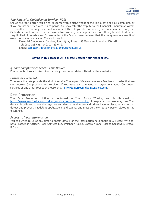

#### *The Financial Ombudsman Service (FOS)*

Should We fail to offer You a final response within eight weeks of the initial date of Your complaint, or if You are not satisfied with Our response, You may refer the dispute to the Financial Ombudsman within six months of receiving Our final response letter. If you do not refer your complaint in time, the Ombudsman will not have our permission to consider your complaint and so will only be able to do so in very limited circumstances. For example, if the Ombudsman believes that the delay was as a result of exceptional circumstances. Their address is:

Financial Ombudsman Service, South Quay Plaza, 183 Marsh Wall London, E14 9SR Tel: 0800 023 4567 or 0300 123 9 123 Email: [complaint.info@financial-ombudsman.org.uk](mailto:complaint.info@financial-ombudsman.org.uk)

#### **Nothing in this process will adversely affect Your rights of law.**

#### *If Your complaint concerns Your Broker*

Please contact Your broker directly using the contact details listed on their website.

#### *Customer Comments*

To ensure that We provide the kind of service You expect We welcome Your feedback in order that We can improve Our products and services. If You have any comments or suggestions about Our cover, services or any other feedback please email [info@SomersetBridgeInsurance.com.](mailto:info@SomersetBridgeInsurance.com)

#### <span id="page-10-0"></span>**Data Protection**

The Data Protection Notice is contained in Your Policy Wording and is displayed on [https://www.watfordre.com/privacy-and-data-protection-policy.](https://www.watfordre.com/privacy-and-data-protection-policy) It explains how We may use Your details. It tells You about the registers and databases that We and others have in place, which help to detect and prevent fraudulent applications and claims, and must be shown to any party related to the insurance.

#### *Access to Your Information*

You can write to Us at any time to obtain details of the information held about You. Please write to: Data Protection Officer, Rock Services Ltd, Lysander House, Catbrain Lane, Cribbs Causeway, Bristol, BS10 7TQ.